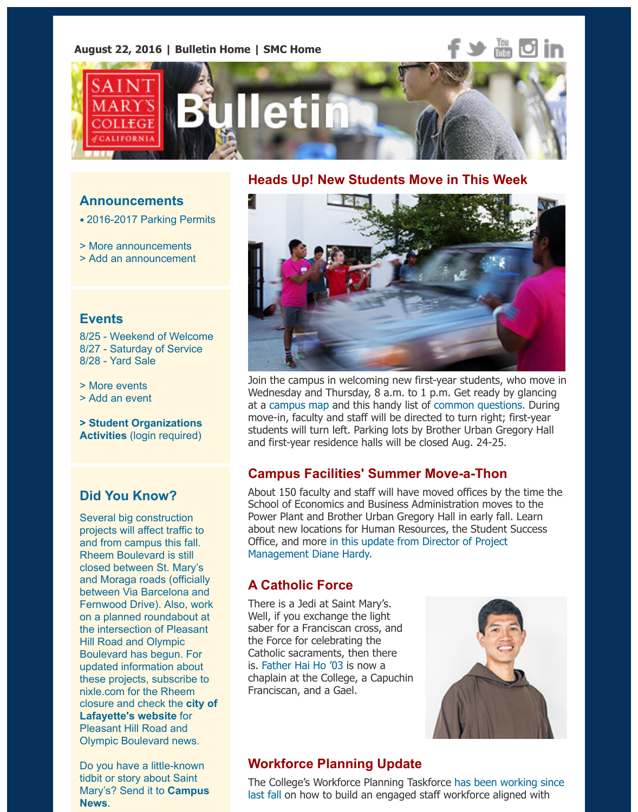

#### **Announcements**

• 2016-2017 Parking Permits

> More announcements

> Add an announcement

#### **Events**

8[/25 - Weekend of Welcome](http://www.stmarys-ca.edu/2016-2017-parking-permits?utm_source=Bulletin&utm_medium=email&utm_content=announcement_test&utm_campaign=08-22-2016) 8/27 - Saturday of Service 8/28 [- Yard Sale](http://www.stmarys-ca.edu/smc-bulletin/announcements?utm_source=Bulletin&utm_medium=email&utm_content=announcement_test&utm_campaign=01-19-2016)

> More events

> Add an event

**> Student Organizations Activities** [\(login required\)](http://www.stmarys-ca.edu/weekend-of-welcome?utm_source=Bulletin&utm_medium=email&utm_content=event_test&utm_campaign=08-22-2016)

## **[Did You Kn](http://www.stmarys-ca.edu/events?utm_source=Bulletin&utm_medium=email&utm_content=event_test&utm_campaign=08-22-2016)ow?**

[Several big con](http://www.stmarys-ca.edu/node/add/calendar-event?utm_source=Bulletin&utm_medium=email&utm_content=event_test&utm_campaign=08-22-2016)struction projects will affect traffic to [and from campus this fall.](https://stmarys-ca-community.symplicity.com/) Rheem Boulevard is still closed between St. Mary's and Moraga roads (officially between Via Barcelona and Fernwood Drive). Also, work on a planned roundabout at the intersection of Pleasant Hill Road and Olympic Boulevard has begun. For updated information about these projects, subscribe to nixle.com for the Rheem closure and check the **city of Lafayette's website** for Pleasant Hill Road and Olympic Boulevard news.

Do you have a little-known tidbit or story about Saint Mary's? Send it to **Campus [News](http://www.ci.lafayette.ca.us/city-hall/city-departments/engineering/pleasant-hill-rd-olympic-blvd-roundabout)**.

#### **Heads Up! New Students Move in This Week**



Join the campus in welcoming new first-year students, who mo Wednesday and Thursday, 8 a.m. to 1 p.m. Get ready by gland at a campus map and this handy list of common questions. Du move-in, faculty and staff will be directed to turn right; first-year students will turn left. Parking lots by Brother Urban Gregory H and first-year residence halls will be closed Aug. 24-25.

### **Campus Facilities' Summer Move-a-Thon**

About 150 faculty and staff will have moved offices by the time School of Economics and Business Administration moves to the Pow[er Plant and B](http://www.stmarys-ca.edu/about-smc/the-campus/campus-map?utm_source=Bulletin&utm_medium=email&utm_content=feature_test&utm_campaign=08-22-2016)rother Urban Gregor[y Hall in early fall. Le](http://www.stmarys-ca.edu/answers-to-common-questions-by-people-visiting-campus?utm_source=Bulletin&utm_medium=email&utm_content=feature_test&utm_campaign=08-22-2016)arn about new locations for Human Resources, the Student Succes Office, and more in this update from Director of Project Management Diane Hardy.

## **A Catholic Force**

There is a Jedi at Saint Mary's. Well, if you exchange the light saber for a Franciscan cross, and the Force for celebrating the [Catholic sacraments, then there](http://www.stmarys-ca.edu/summer-at-saint-marys-move-a-thon?utm_source=Bulletin&utm_medium=email&utm_content=feature_test&utm_campaign=08-22-2016) is. Father Hai Ho '03 is now a chaplain at the College, a Capuchin Franciscan, and a Gael.



### **Workforce Planning Update**

Th[e College's Workfo](http://www.stmarys-ca.edu/a-catholic-force?utm_source=Bulletin&utm_medium=email&utm_content=feature_test&utm_campaign=08-22-2016)rce Planning Taskforce has been working last fall on how to build an engaged staff workforce aligned with